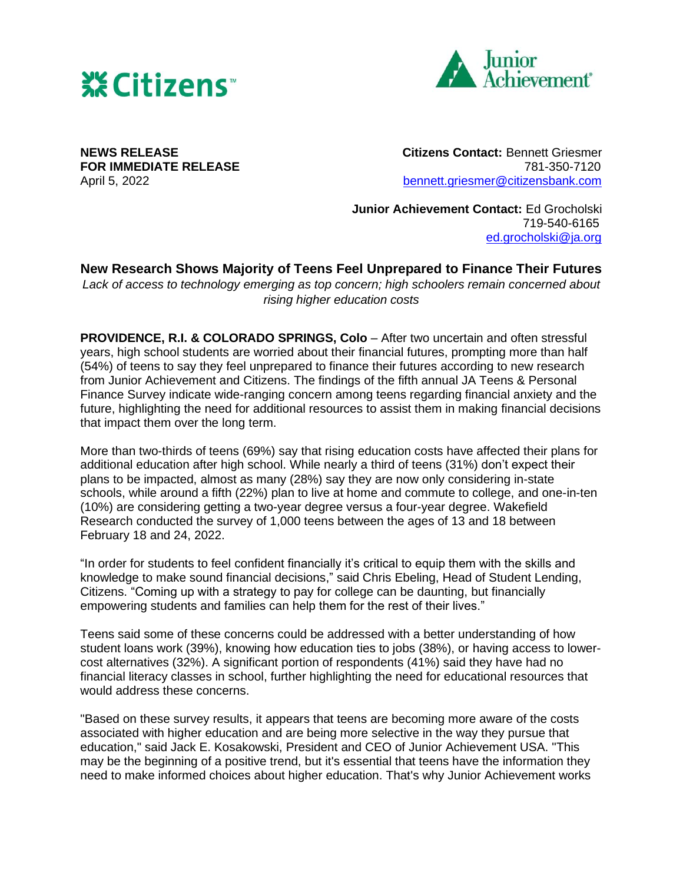



**NEWS RELEASE Citizens Contact:** Bennett Griesmer **FOR IMMEDIATE RELEASE 1988 1999 12:00 12:00 13:00 13:00 14:00 14:00 14:00 14:00 14:00 14:00 14:00 14:00 14:00 14:00 14:00 14:00 14:00 14:00 14:00 14:00 14:00 14:00 14:00 14:00 14:00 14:00 14:00 14:00 14:00 14:00 14:00** April 5, 2022 [bennett.griesmer@citizensbank.com](mailto:bennett.griesmer@citizensbank.com)

> **Junior Achievement Contact:** Ed Grocholski 719-540-6165 [ed.grocholski@ja.org](mailto:ed.grocholski@ja.org)

## **New Research Shows Majority of Teens Feel Unprepared to Finance Their Futures**

*Lack of access to technology emerging as top concern; high schoolers remain concerned about rising higher education costs*

**PROVIDENCE, R.I. & COLORADO SPRINGS, Colo** – After two uncertain and often stressful years, high school students are worried about their financial futures, prompting more than half (54%) of teens to say they feel unprepared to finance their futures according to new research from Junior Achievement and Citizens. The findings of the fifth annual JA Teens & Personal Finance Survey indicate wide-ranging concern among teens regarding financial anxiety and the future, highlighting the need for additional resources to assist them in making financial decisions that impact them over the long term.

More than two-thirds of teens (69%) say that rising education costs have affected their plans for additional education after high school. While nearly a third of teens (31%) don't expect their plans to be impacted, almost as many (28%) say they are now only considering in-state schools, while around a fifth (22%) plan to live at home and commute to college, and one-in-ten (10%) are considering getting a two-year degree versus a four-year degree. Wakefield Research conducted the survey of 1,000 teens between the ages of 13 and 18 between February 18 and 24, 2022.

"In order for students to feel confident financially it's critical to equip them with the skills and knowledge to make sound financial decisions," said Chris Ebeling, Head of Student Lending, Citizens. "Coming up with a strategy to pay for college can be daunting, but financially empowering students and families can help them for the rest of their lives."

Teens said some of these concerns could be addressed with a better understanding of how student loans work (39%), knowing how education ties to jobs (38%), or having access to lowercost alternatives (32%). A significant portion of respondents (41%) said they have had no financial literacy classes in school, further highlighting the need for educational resources that would address these concerns.

"Based on these survey results, it appears that teens are becoming more aware of the costs associated with higher education and are being more selective in the way they pursue that education," said Jack E. Kosakowski, President and CEO of Junior Achievement USA. "This may be the beginning of a positive trend, but it's essential that teens have the information they need to make informed choices about higher education. That's why Junior Achievement works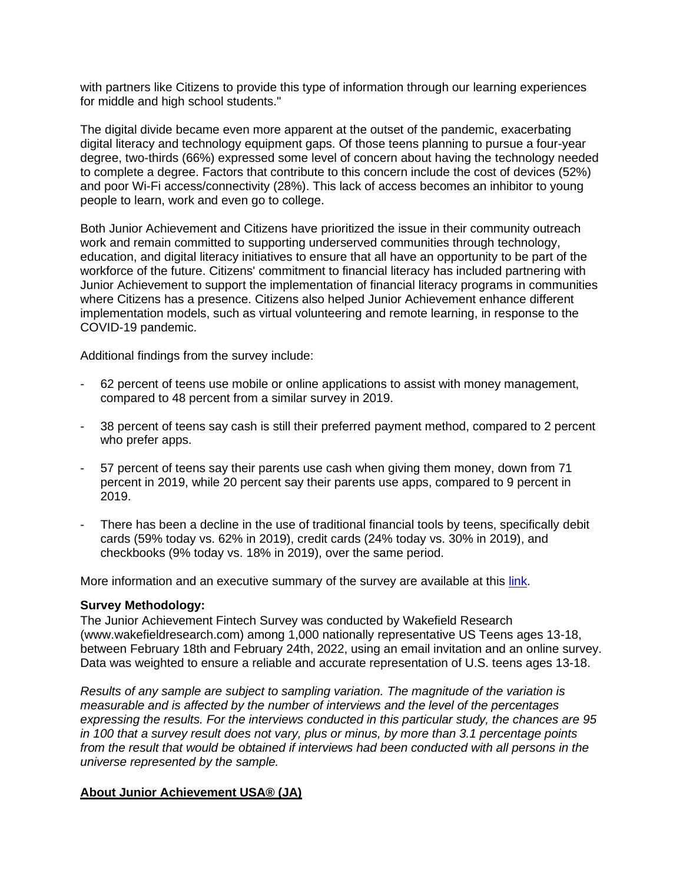with partners like Citizens to provide this type of information through our learning experiences for middle and high school students."

The digital divide became even more apparent at the outset of the pandemic, exacerbating digital literacy and technology equipment gaps. Of those teens planning to pursue a four-year degree, two-thirds (66%) expressed some level of concern about having the technology needed to complete a degree. Factors that contribute to this concern include the cost of devices (52%) and poor Wi-Fi access/connectivity (28%). This lack of access becomes an inhibitor to young people to learn, work and even go to college.

Both Junior Achievement and Citizens have prioritized the issue in their community outreach work and remain committed to supporting underserved communities through technology, education, and digital literacy initiatives to ensure that all have an opportunity to be part of the workforce of the future. Citizens' commitment to financial literacy has included partnering with Junior Achievement to support the implementation of financial literacy programs in communities where Citizens has a presence. Citizens also helped Junior Achievement enhance different implementation models, such as virtual volunteering and remote learning, in response to the COVID-19 pandemic.

Additional findings from the survey include:

- 62 percent of teens use mobile or online applications to assist with money management, compared to 48 percent from a similar survey in 2019.
- 38 percent of teens say cash is still their preferred payment method, compared to 2 percent who prefer apps.
- 57 percent of teens say their parents use cash when giving them money, down from 71 percent in 2019, while 20 percent say their parents use apps, compared to 9 percent in 2019.
- There has been a decline in the use of traditional financial tools by teens, specifically debit cards (59% today vs. 62% in 2019), credit cards (24% today vs. 30% in 2019), and checkbooks (9% today vs. 18% in 2019), over the same period.

More information and an executive summary of the survey are available at this [link.](https://jausa.ja.org/educator/opportunity/The-JA-Teens-and-Personal-Finance-Survey)

## **Survey Methodology:**

The Junior Achievement Fintech Survey was conducted by Wakefield Research (www.wakefieldresearch.com) among 1,000 nationally representative US Teens ages 13-18, between February 18th and February 24th, 2022, using an email invitation and an online survey. Data was weighted to ensure a reliable and accurate representation of U.S. teens ages 13-18.

*Results of any sample are subject to sampling variation. The magnitude of the variation is measurable and is affected by the number of interviews and the level of the percentages expressing the results. For the interviews conducted in this particular study, the chances are 95 in 100 that a survey result does not vary, plus or minus, by more than 3.1 percentage points from the result that would be obtained if interviews had been conducted with all persons in the universe represented by the sample.*

## **About Junior Achievement USA® (JA)**